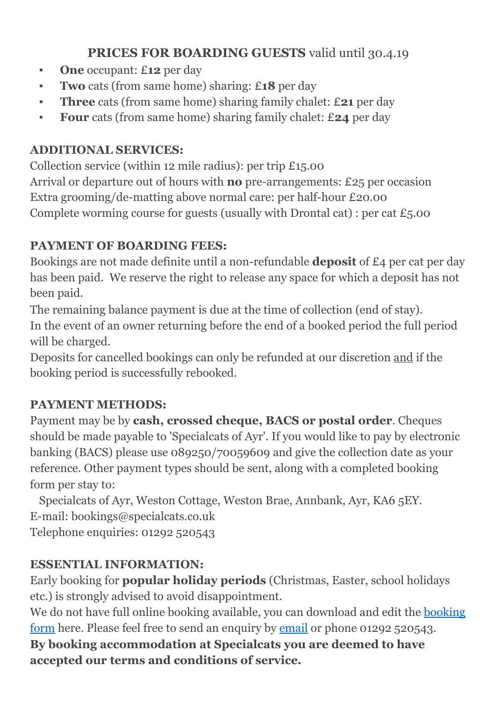# **PRICES FOR BOARDING GUESTS** valid until 30.4.19

- **▪ One** occupant: £**12** per day
- **▪ Two** cats (from same home) sharing: £**18** per day
- **▪ Three** cats (from same home) sharing family chalet: £**21** per day
- **▪ Four** cats (from same home) sharing family chalet: £**24** per day

## **ADDITIONAL SERVICES:**

Collection service (within 12 mile radius): per trip £15.00 Arrival or departure out of hours with **no** pre-arrangements: £25 per occasion Extra grooming/de-matting above normal care: per half-hour £20.00 Complete worming course for guests (usually with Drontal cat) : per cat  $\pounds$ 5.00

# **PAYMENT OF BOARDING FEES:**

Bookings are not made definite until a non-refundable **deposit** of £4 per cat per day has been paid. We reserve the right to release any space for which a deposit has not been paid.

The remaining balance payment is due at the time of collection (end of stay). In the event of an owner returning before the end of a booked period the full period will be charged.

Deposits for cancelled bookings can only be refunded at our discretion and if the booking period is successfully rebooked.

# **PAYMENT METHODS:**

Payment may be by **cash, crossed cheque, BACS or postal order**. Cheques should be made payable to 'Specialcats of Ayr'. If you would like to pay by electronic banking (BACS) please use 089250/70059609 and give the collection date as your reference. Other payment types should be sent, along with a completed booking form per stay to:

 Specialcats of Ayr, Weston Cottage, Weston Brae, Annbank, Ayr, KA6 5EY. E-mail: bookings@specialcats.co.uk Telephone enquiries: 01292 520543

# **ESSENTIAL INFORMATION:**

Early booking for **popular holiday periods** (Christmas, Easter, school holidays etc.) is strongly advised to avoid disappointment.

We do not have full online [booking](http://www.specialcats.co.uk/wp-content/uploads/2012/10/wordbookingform2012.doc) available, you can download and edit the booking [form](http://www.specialcats.co.uk/wp-content/uploads/2012/10/wordbookingform2012.doc) here. Please feel free to send an enquiry by [email](mailto:%22bookings@specialcats.co.uk%22) or phone 01292 520543.

**By booking accommodation at Specialcats you are deemed to have accepted our terms and conditions of service.**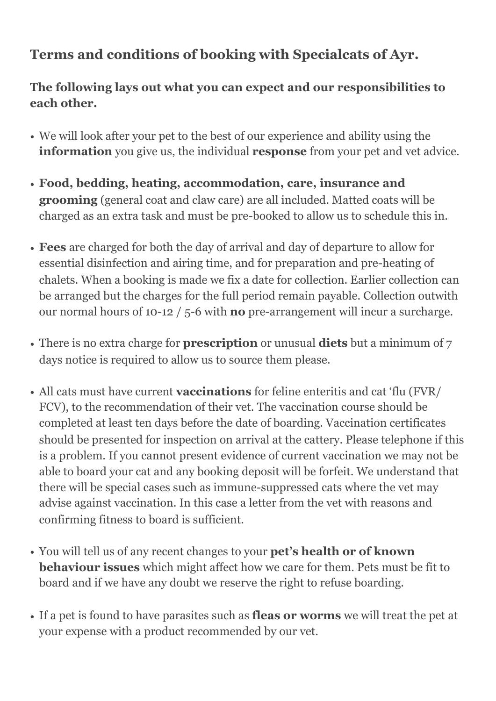# **Terms and conditions of booking with Specialcats of Ayr.**

**The following lays out what you can expect and our responsibilities to each other.** 

- We will look after your pet to the best of our experience and ability using the **information** you give us, the individual **response** from your pet and vet advice.
- **Food, bedding, heating, accommodation, care, insurance and grooming** (general coat and claw care) are all included. Matted coats will be charged as an extra task and must be pre-booked to allow us to schedule this in.
- **Fees** are charged for both the day of arrival and day of departure to allow for essential disinfection and airing time, and for preparation and pre-heating of chalets. When a booking is made we fix a date for collection. Earlier collection can be arranged but the charges for the full period remain payable. Collection outwith our normal hours of 10-12 / 5-6 with **no** pre-arrangement will incur a surcharge.
- There is no extra charge for **prescription** or unusual **diets** but a minimum of 7 days notice is required to allow us to source them please.
- All cats must have current **vaccinations** for feline enteritis and cat 'flu (FVR/ FCV), to the recommendation of their vet. The vaccination course should be completed at least ten days before the date of boarding. Vaccination certificates should be presented for inspection on arrival at the cattery. Please telephone if this is a problem. If you cannot present evidence of current vaccination we may not be able to board your cat and any booking deposit will be forfeit. We understand that there will be special cases such as immune-suppressed cats where the vet may advise against vaccination. In this case a letter from the vet with reasons and confirming fitness to board is sufficient.
- You will tell us of any recent changes to your **pet's health or of known behaviour issues** which might affect how we care for them. Pets must be fit to board and if we have any doubt we reserve the right to refuse boarding.
- If a pet is found to have parasites such as **fleas or worms** we will treat the pet at your expense with a product recommended by our vet.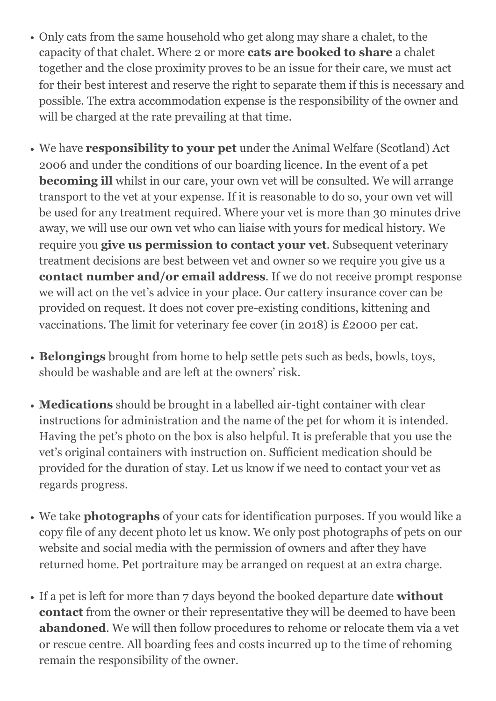- Only cats from the same household who get along may share a chalet, to the capacity of that chalet. Where 2 or more **cats are booked to share** a chalet together and the close proximity proves to be an issue for their care, we must act for their best interest and reserve the right to separate them if this is necessary and possible. The extra accommodation expense is the responsibility of the owner and will be charged at the rate prevailing at that time.
- We have **responsibility to your pet** under the Animal Welfare (Scotland) Act 2006 and under the conditions of our boarding licence. In the event of a pet **becoming ill** whilst in our care, your own vet will be consulted. We will arrange transport to the vet at your expense. If it is reasonable to do so, your own vet will be used for any treatment required. Where your vet is more than 30 minutes drive away, we will use our own vet who can liaise with yours for medical history. We require you **give us permission to contact your vet**. Subsequent veterinary treatment decisions are best between vet and owner so we require you give us a **contact number and/or email address**. If we do not receive prompt response we will act on the vet's advice in your place. Our cattery insurance cover can be provided on request. It does not cover pre-existing conditions, kittening and vaccinations. The limit for veterinary fee cover (in 2018) is £2000 per cat.
- **Belongings** brought from home to help settle pets such as beds, bowls, toys, should be washable and are left at the owners' risk.
- **Medications** should be brought in a labelled air-tight container with clear instructions for administration and the name of the pet for whom it is intended. Having the pet's photo on the box is also helpful. It is preferable that you use the vet's original containers with instruction on. Sufficient medication should be provided for the duration of stay. Let us know if we need to contact your vet as regards progress.
- We take **photographs** of your cats for identification purposes. If you would like a copy file of any decent photo let us know. We only post photographs of pets on our website and social media with the permission of owners and after they have returned home. Pet portraiture may be arranged on request at an extra charge.
- If a pet is left for more than 7 days beyond the booked departure date **without contact** from the owner or their representative they will be deemed to have been **abandoned**. We will then follow procedures to rehome or relocate them via a vet or rescue centre. All boarding fees and costs incurred up to the time of rehoming remain the responsibility of the owner.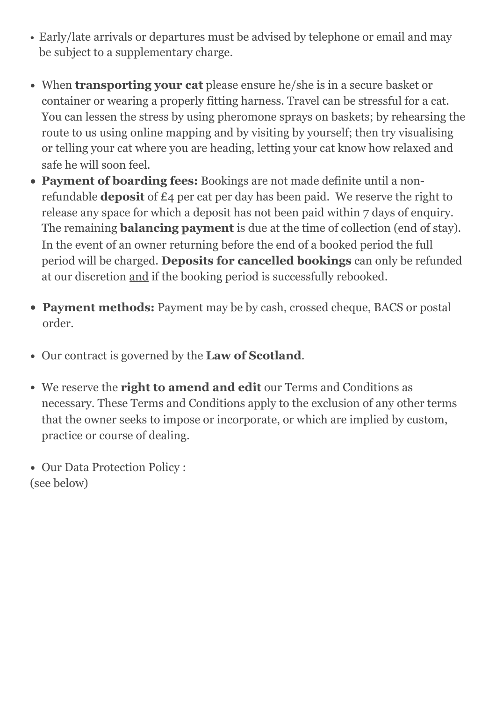- Early/late arrivals or departures must be advised by telephone or email and may be subject to a supplementary charge.
- When **transporting your cat** please ensure he/she is in a secure basket or container or wearing a properly fitting harness. Travel can be stressful for a cat. You can lessen the stress by using pheromone sprays on baskets; by rehearsing the route to us using online mapping and by visiting by yourself; then try visualising or telling your cat where you are heading, letting your cat know how relaxed and safe he will soon feel.
- **• Payment of boarding fees:** Bookings are not made definite until a nonrefundable **deposit** of £4 per cat per day has been paid. We reserve the right to release any space for which a deposit has not been paid within 7 days of enquiry. The remaining **balancing payment** is due at the time of collection (end of stay). In the event of an owner returning before the end of a booked period the full period will be charged. **Deposits for cancelled bookings** can only be refunded at our discretion and if the booking period is successfully rebooked.
- **• Payment methods:** Payment may be by cash, crossed cheque, BACS or postal order.
- Our contract is governed by the **Law of Scotland**.
- We reserve the **right to amend and edit** our Terms and Conditions as necessary. These Terms and Conditions apply to the exclusion of any other terms that the owner seeks to impose or incorporate, or which are implied by custom, practice or course of dealing.
- Our Data Protection Policy : (see below)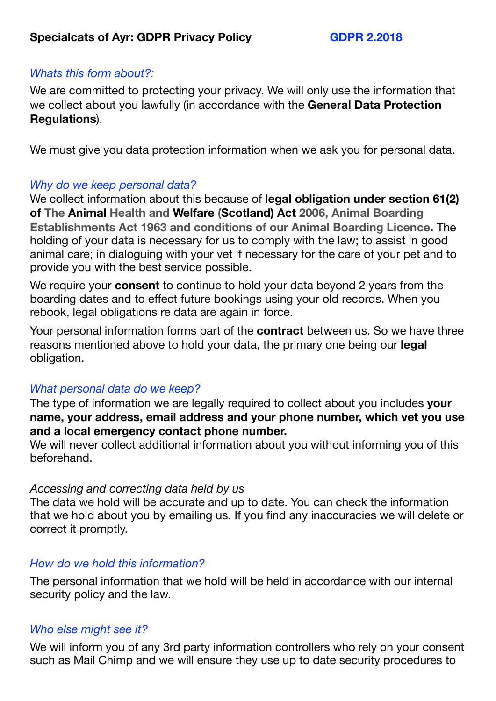## *Whats this form about?:*

We are committed to protecting your privacy. We will only use the information that we collect about you lawfully (in accordance with the **General Data Protection Regulations**).

We must give you data protection information when we ask you for personal data.

## *Why do we keep personal data?*

We collect information about this because of **legal obligation under section 61(2) of The Animal Health and Welfare (Scotland) Act 2006, Animal Boarding Establishments Act 1963 and conditions of our Animal Boarding Licence.** The holding of your data is necessary for us to comply with the law; to assist in good animal care; in dialoguing with your vet if necessary for the care of your pet and to provide you with the best service possible.

We require your **consent** to continue to hold your data beyond 2 years from the boarding dates and to effect future bookings using your old records. When you rebook, legal obligations re data are again in force.

Your personal information forms part of the **contract** between us. So we have three reasons mentioned above to hold your data, the primary one being our **legal**  obligation.

## *What personal data do we keep?*

The type of information we are legally required to collect about you includes **your name, your address, email address and your phone number, which vet you use and a local emergency contact phone number.** 

We will never collect additional information about you without informing you of this beforehand.

## *Accessing and correcting data held by us*

The data we hold will be accurate and up to date. You can check the information that we hold about you by emailing us. If you find any inaccuracies we will delete or correct it promptly.

#### *How do we hold this information?*

The personal information that we hold will be held in accordance with our internal security policy and the law.

## *Who else might see it?*

We will inform you of any 3rd party information controllers who rely on your consent such as Mail Chimp and we will ensure they use up to date security procedures to